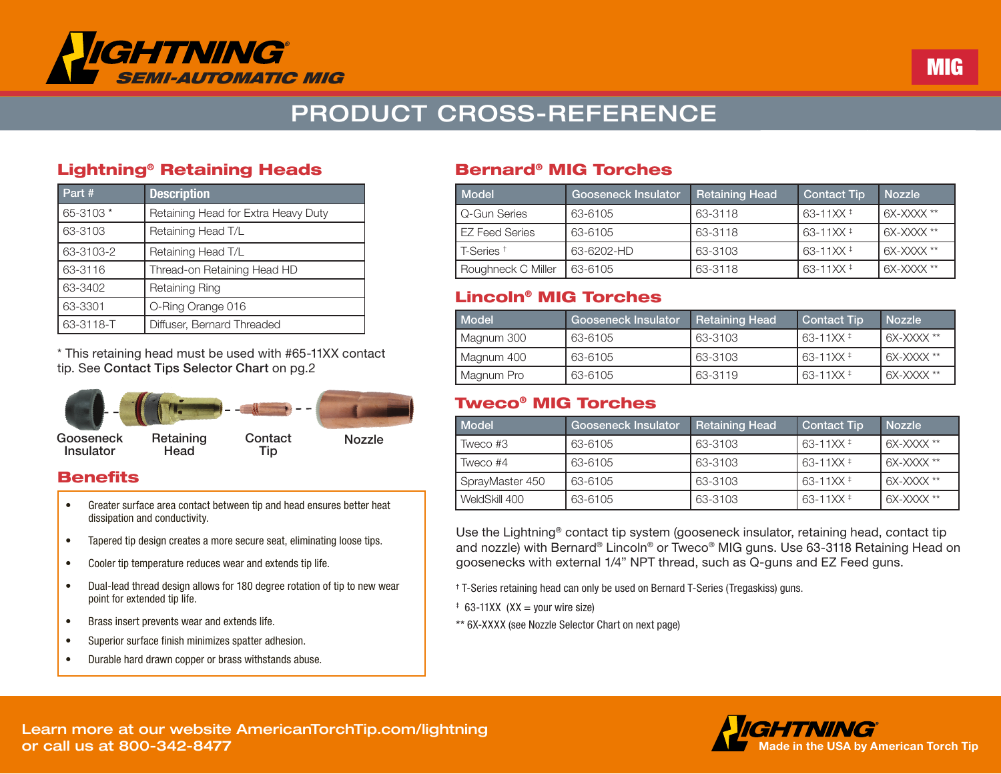

# PRODUCT CROSS-REFERENCE

#### Lightning® Retaining Heads

| Part #    | <b>Description</b>                  |  |
|-----------|-------------------------------------|--|
| 65-3103 * | Retaining Head for Extra Heavy Duty |  |
| 63-3103   | Retaining Head T/L                  |  |
| 63-3103-2 | Retaining Head T/L                  |  |
| 63-3116   | Thread-on Retaining Head HD         |  |
| 63-3402   | Retaining Ring                      |  |
| 63-3301   | O-Ring Orange 016                   |  |
| 63-3118-T | Diffuser, Bernard Threaded          |  |

\* This retaining head must be used with #65-11XX contact tip. See Contact Tips Selector Chart on pg.2



#### **Benefits**

- Greater surface area contact between tip and head ensures better heat dissipation and conductivity.
- Tapered tip design creates a more secure seat, eliminating loose tips.
- Cooler tip temperature reduces wear and extends tip life.
- Dual-lead thread design allows for 180 degree rotation of tip to new wear point for extended tip life.
- Brass insert prevents wear and extends life.
- Superior surface finish minimizes spatter adhesion.
- Durable hard drawn copper or brass withstands abuse.

#### Bernard® MIG Torches

| Model                 | Gooseneck Insulator | <b>Retaining Head</b> | <b>Contact Tip</b>   | <b>Nozzle</b> |
|-----------------------|---------------------|-----------------------|----------------------|---------------|
| Q-Gun Series          | 63-6105             | 63-3118               | 63-11XX <sup>+</sup> | 6X-XXXX **    |
| <b>EZ Feed Series</b> | 63-6105             | 63-3118               | 63-11XX <sup>+</sup> | 6X-XXXX **    |
| T-Series <sup>+</sup> | 63-6202-HD          | 63-3103               | 63-11XX <sup>+</sup> | 6X-XXXX **    |
| Roughneck C Miller    | 63-6105             | 63-3118               | 63-11XX <sup>+</sup> | 6X-XXXX **    |

Semi-Auto MIG Gun Conversion Kits

#### Lincoln® MIG Torches

| Model      | Gooseneck Insulator | <b>Retaining Head</b> | Contact Tip | <b>Nozzle</b> |
|------------|---------------------|-----------------------|-------------|---------------|
| Magnum 300 | 63-6105             | 63-3103               | l 63-11XX ‡ | 6X-XXXX **    |
| Magnum 400 | 63-6105             | 63-3103               | l 63-11XX ‡ | 6X-XXXX **    |
| Magnum Pro | 63-6105             | 63-3119               | l 63-11XX ‡ | 6X-XXXX **    |

#### Tweco® MIG Torches

| Model           | Gooseneck Insulator | <b>Retaining Head</b> | <b>Contact Tip</b>   | <b>Nozzle</b> |
|-----------------|---------------------|-----------------------|----------------------|---------------|
| Tweco #3        | 63-6105             | 63-3103               | 63-11XX <sup>+</sup> | 6X-XXXX **    |
| Tweco #4        | 63-6105             | 63-3103               | $63 - 11$ XX $\pm$   | 6X-XXXX **    |
| SprayMaster 450 | 63-6105             | 63-3103               | $63 - 11$ XX $\pm$   | 6X-XXXX **    |
| WeldSkill 400   | 63-6105             | 63-3103               | $63 - 11$ XX $\pm$   | $6X-XXXX$ **  |

Use the Lightning® contact tip system (gooseneck insulator, retaining head, contact tip and nozzle) with Bernard® Lincoln® or Tweco® MIG guns. Use 63-3118 Retaining Head on goosenecks with external 1/4" NPT thread, such as Q-guns and EZ Feed guns.

† T-Series retaining head can only be used on Bernard T-Series (Tregaskiss) guns.

- $\pm$  63-11XX (XX = your wire size)
- \*\* 6X-XXXX (see Nozzle Selector Chart on next page)



Learn more at our website AmericanTorchTip.com/lightning or call us at 800-342-8477